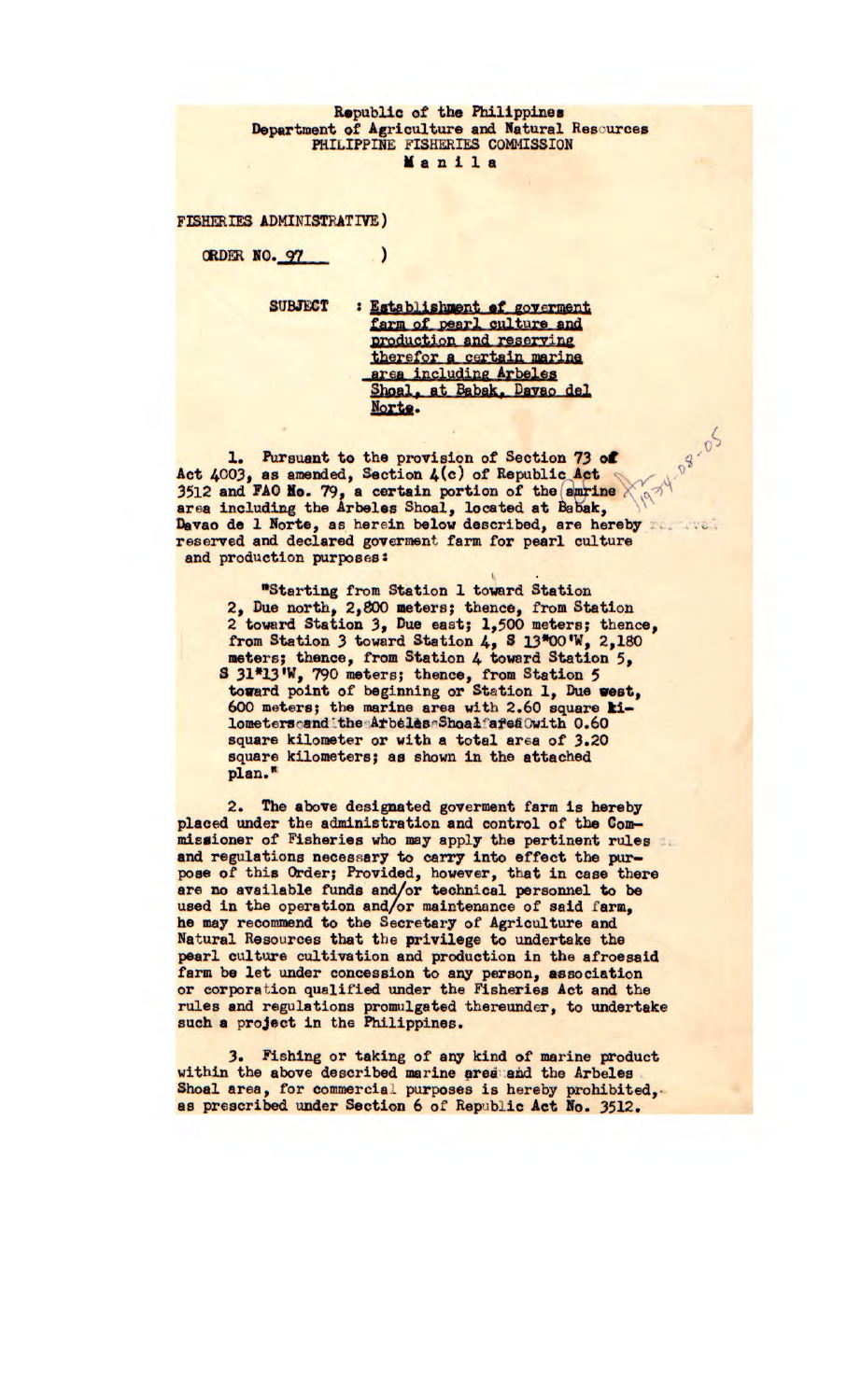## Republic of the Philippines Department of Agriculture and Natural Reseurces PHILIPPINE FISHERIES COMMISSION Ma nil a

FISHERIES ADMINISTRATIVE)

ORDER NO. 97

SUBJECT : Establishment of governent<br>farm of pearl culture and production and reserving therefor a certain marine area including Arbeles Shoal, at Babak, Davao del Norte.

1. Pursuant to the provision of Section 73 of  $\frac{4}{3}$  of  $\frac{4}{3}$ **Act** 4003, **83** amended, Section *4(c)* **of Repub1icAct**  igy **3512 and FAQ No.** 79, a certain portion of the(amrine area including the Arbeles Shoal, located at Babak, Davao de 1 Norte, as herein below described, are hereby reserved and declared goverment farm for pearl culture and production purposes:

 $\mathcal{L}$ 

"Starting from Station 1 toward Station 2, Due north, 2,800 meters; thence, from Station 2 toward Station 3, Due east; 1,500 meters; thence, from Station *3* toward Station *4,* 8 13"00 'W, 2,180 meters; thence, from Station *4* toward Station 5, S 31\*13'W, 790 meters; thence, from Station 5 toward point of beginning or Station 1, Due west, 600 meters; the marine area with 2.60 square **ki**lometers and the Arbeles Shoal afea Owith 0.60 square kilometer or with a total area of 3.20 square kilometers; as shown in the attached plan.

2. The above designated goverment farm is hereby placed under the administration and control of the Commissioner of Fisheries who may apply the *pertinent* rules and regulations necessary to carry into effect the purpose of this Order; Provided, however, that in case there are no available funds and/or technical personnel to be used in the operation and/or maintenance of said farm, he may recommend to the Secretary of Agriculture and Natural Resources that the privilege to undertake the pearl culture cultivation and production in the afroesaid farm be let under concession to any person, association or corporation qualified under the Fisheries Act and the rules and regulations promulgated thereunder, to undertake such a project in the Philippines.

3. Fishing or taking of any kind of marine product within the above described marine area *and* the **Arbelea**  Shoal area, for commercial purposes is hereby prohibited, as prescribed under Section 6 of Republic Act No. 3512.